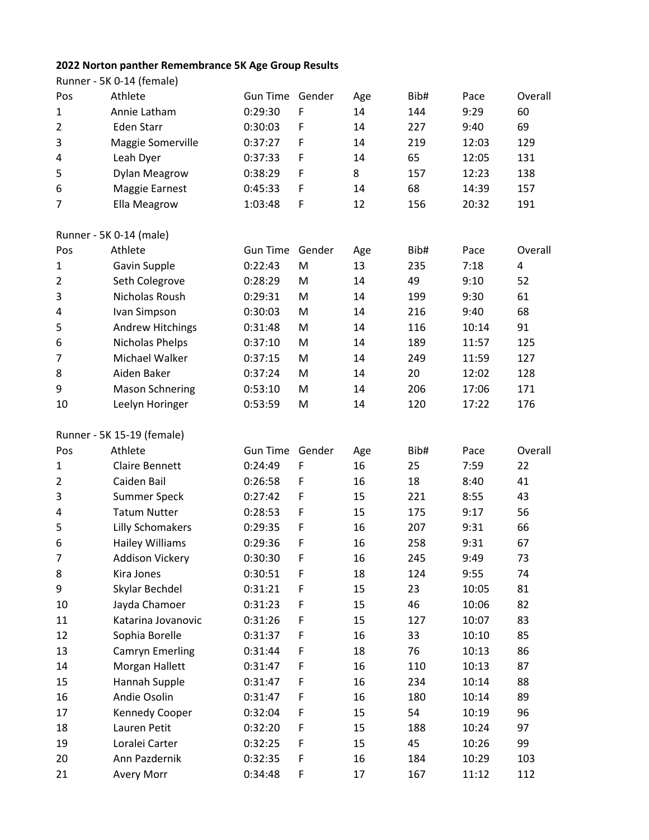## **2022 Norton panther Remembrance 5K Age Group Results**

|                | Runner - 5K 0-14 (female)  |                 |        |     |      |       |         |
|----------------|----------------------------|-----------------|--------|-----|------|-------|---------|
| Pos            | Athlete                    | Gun Time Gender |        | Age | Bib# | Pace  | Overall |
| 1              | Annie Latham               | 0:29:30         | F      | 14  | 144  | 9:29  | 60      |
| $\overline{2}$ | <b>Eden Starr</b>          | 0:30:03         | F      | 14  | 227  | 9:40  | 69      |
| 3              | Maggie Somerville          | 0:37:27         | F      | 14  | 219  | 12:03 | 129     |
| 4              | Leah Dyer                  | 0:37:33         | F      | 14  | 65   | 12:05 | 131     |
| 5              | <b>Dylan Meagrow</b>       | 0:38:29         | F      | 8   | 157  | 12:23 | 138     |
| 6              | Maggie Earnest             | 0:45:33         | F      | 14  | 68   | 14:39 | 157     |
| 7              | Ella Meagrow               | 1:03:48         | F      | 12  | 156  | 20:32 | 191     |
|                | Runner - 5K 0-14 (male)    |                 |        |     |      |       |         |
| Pos            | Athlete                    | <b>Gun Time</b> | Gender | Age | Bib# | Pace  | Overall |
| 1              | Gavin Supple               | 0:22:43         | M      | 13  | 235  | 7:18  | 4       |
| $\overline{2}$ | Seth Colegrove             | 0:28:29         | M      | 14  | 49   | 9:10  | 52      |
| 3              | Nicholas Roush             | 0:29:31         | M      | 14  | 199  | 9:30  | 61      |
| 4              | Ivan Simpson               | 0:30:03         | M      | 14  | 216  | 9:40  | 68      |
| 5              | <b>Andrew Hitchings</b>    | 0:31:48         | M      | 14  | 116  | 10:14 | 91      |
| 6              | Nicholas Phelps            | 0:37:10         | M      | 14  | 189  | 11:57 | 125     |
| 7              | Michael Walker             | 0:37:15         | M      | 14  | 249  | 11:59 | 127     |
| 8              | Aiden Baker                | 0:37:24         | M      | 14  | 20   | 12:02 | 128     |
| 9              | <b>Mason Schnering</b>     | 0:53:10         | M      | 14  | 206  | 17:06 | 171     |
| 10             | Leelyn Horinger            | 0:53:59         | M      | 14  | 120  | 17:22 | 176     |
|                | Runner - 5K 15-19 (female) |                 |        |     |      |       |         |
| Pos            | Athlete                    | Gun Time Gender |        | Age | Bib# | Pace  | Overall |
| 1              | <b>Claire Bennett</b>      | 0:24:49         | F      | 16  | 25   | 7:59  | 22      |
| $\overline{2}$ | Caiden Bail                | 0:26:58         | F      | 16  | 18   | 8:40  | 41      |
| 3              | <b>Summer Speck</b>        | 0:27:42         | F      | 15  | 221  | 8:55  | 43      |
| 4              | <b>Tatum Nutter</b>        | 0:28:53         | F      | 15  | 175  | 9:17  | 56      |
| 5              | <b>Lilly Schomakers</b>    | 0:29:35         | F      | 16  | 207  | 9:31  | 66      |
| 6              | <b>Hailey Williams</b>     | 0:29:36         | F      | 16  | 258  | 9:31  | 67      |
| 7              | Addison Vickery            | 0:30:30         | F      | 16  | 245  | 9:49  | 73      |
| 8              | Kira Jones                 | 0:30:51         | F      | 18  | 124  | 9:55  | 74      |
| 9              | Skylar Bechdel             | 0:31:21         | F      | 15  | 23   | 10:05 | 81      |
| 10             | Jayda Chamoer              | 0:31:23         | F      | 15  | 46   | 10:06 | 82      |
| 11             | Katarina Jovanovic         | 0:31:26         | F      | 15  | 127  | 10:07 | 83      |
| 12             | Sophia Borelle             | 0:31:37         | F      | 16  | 33   | 10:10 | 85      |
| 13             | <b>Camryn Emerling</b>     | 0:31:44         | F      | 18  | 76   | 10:13 | 86      |
| 14             | Morgan Hallett             | 0:31:47         | F      | 16  | 110  | 10:13 | 87      |
| 15             | Hannah Supple              | 0:31:47         | F      | 16  | 234  | 10:14 | 88      |
| 16             | Andie Osolin               | 0:31:47         | F      | 16  | 180  | 10:14 | 89      |
| 17             | <b>Kennedy Cooper</b>      | 0:32:04         | F      | 15  | 54   | 10:19 | 96      |
| 18             | Lauren Petit               | 0:32:20         | F      | 15  | 188  | 10:24 | 97      |
| 19             | Loralei Carter             | 0:32:25         | F      | 15  | 45   | 10:26 | 99      |
|                |                            |                 |        |     |      |       |         |
| 20             | Ann Pazdernik              | 0:32:35         | F      | 16  | 184  | 10:29 | 103     |
| 21             | Avery Morr                 | 0:34:48         | F      | 17  | 167  | 11:12 | 112     |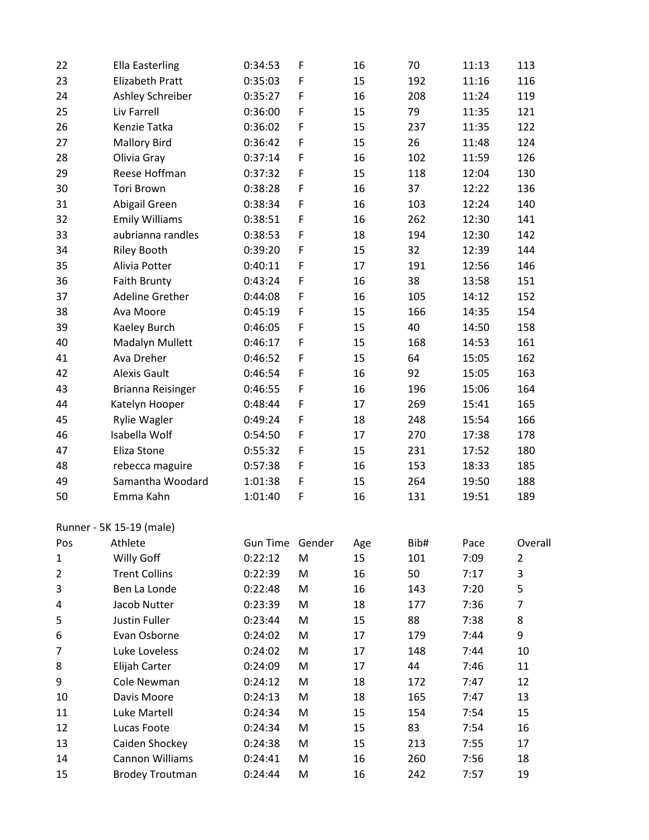| 22           | <b>Ella Easterling</b>   | 0:34:53         | F           | 16  | 70   | 11:13 | 113     |
|--------------|--------------------------|-----------------|-------------|-----|------|-------|---------|
| 23           | Elizabeth Pratt          | 0:35:03         | F           | 15  | 192  | 11:16 | 116     |
| 24           | Ashley Schreiber         | 0:35:27         | F           | 16  | 208  | 11:24 | 119     |
| 25           | Liv Farrell              | 0:36:00         | F           | 15  | 79   | 11:35 | 121     |
| 26           | Kenzie Tatka             | 0:36:02         | F           | 15  | 237  | 11:35 | 122     |
| 27           | <b>Mallory Bird</b>      | 0:36:42         | F           | 15  | 26   | 11:48 | 124     |
| 28           | Olivia Gray              | 0:37:14         | F           | 16  | 102  | 11:59 | 126     |
| 29           | Reese Hoffman            | 0:37:32         | F           | 15  | 118  | 12:04 | 130     |
| 30           | <b>Tori Brown</b>        | 0:38:28         | $\mathsf F$ | 16  | 37   | 12:22 | 136     |
| 31           | Abigail Green            | 0:38:34         | F           | 16  | 103  | 12:24 | 140     |
| 32           | <b>Emily Williams</b>    | 0:38:51         | F           | 16  | 262  | 12:30 | 141     |
| 33           | aubrianna randles        | 0:38:53         | F           | 18  | 194  | 12:30 | 142     |
| 34           | <b>Riley Booth</b>       | 0:39:20         | F           | 15  | 32   | 12:39 | 144     |
| 35           | Alivia Potter            | 0:40:11         | $\mathsf F$ | 17  | 191  | 12:56 | 146     |
| 36           | <b>Faith Brunty</b>      | 0:43:24         | F           | 16  | 38   | 13:58 | 151     |
| 37           | Adeline Grether          | 0:44:08         | F           | 16  | 105  | 14:12 | 152     |
| 38           | Ava Moore                | 0:45:19         | F           | 15  | 166  | 14:35 | 154     |
| 39           | Kaeley Burch             | 0:46:05         | F           | 15  | 40   | 14:50 | 158     |
| 40           | Madalyn Mullett          | 0:46:17         | $\mathsf F$ | 15  | 168  | 14:53 | 161     |
| 41           | Ava Dreher               | 0:46:52         | F           | 15  | 64   | 15:05 | 162     |
| 42           | <b>Alexis Gault</b>      | 0:46:54         | F           | 16  | 92   | 15:05 | 163     |
| 43           | Brianna Reisinger        | 0:46:55         | F           | 16  | 196  | 15:06 | 164     |
| 44           | Katelyn Hooper           | 0:48:44         | $\mathsf F$ | 17  | 269  | 15:41 | 165     |
| 45           | <b>Rylie Wagler</b>      | 0:49:24         | F           | 18  | 248  | 15:54 | 166     |
| 46           | Isabella Wolf            | 0:54:50         | $\mathsf F$ | 17  | 270  | 17:38 | 178     |
| 47           | Eliza Stone              | 0:55:32         | $\mathsf F$ | 15  | 231  | 17:52 | 180     |
| 48           | rebecca maguire          | 0:57:38         | F           | 16  | 153  | 18:33 | 185     |
| 49           | Samantha Woodard         | 1:01:38         | $\mathsf F$ | 15  | 264  | 19:50 | 188     |
| 50           | Emma Kahn                | 1:01:40         | F           | 16  | 131  | 19:51 | 189     |
|              | Runner - 5K 15-19 (male) |                 |             |     |      |       |         |
| Pos          | Athlete                  | <b>Gun Time</b> | Gender      | Age | Bib# | Pace  | Overall |
| $\mathbf{1}$ | Willy Goff               | 0:22:12         | M           | 15  | 101  | 7:09  | 2       |
| 2            | <b>Trent Collins</b>     | 0:22:39         | M           | 16  | 50   | 7:17  | 3       |
| 3            | Ben La Londe             | 0:22:48         | M           | 16  | 143  | 7:20  | 5       |
| 4            | Jacob Nutter             | 0:23:39         | M           | 18  | 177  | 7:36  | 7       |
| 5            | Justin Fuller            | 0:23:44         | M           | 15  | 88   | 7:38  | 8       |
| 6            | Evan Osborne             | 0:24:02         | M           | 17  | 179  | 7:44  | 9       |
| 7            | Luke Loveless            | 0:24:02         | M           | 17  | 148  | 7:44  | 10      |
| 8            | Elijah Carter            | 0:24:09         | M           | 17  | 44   | 7:46  | 11      |
| 9            | Cole Newman              | 0:24:12         | M           | 18  | 172  | 7:47  | 12      |
| 10           | Davis Moore              | 0:24:13         | M           | 18  | 165  | 7:47  | 13      |
| 11           | Luke Martell             | 0:24:34         | M           | 15  | 154  | 7:54  | 15      |
| 12           | Lucas Foote              | 0:24:34         | M           | 15  | 83   | 7:54  | 16      |
| 13           | Caiden Shockey           | 0:24:38         | M           | 15  | 213  | 7:55  | 17      |
| 14           | Cannon Williams          | 0:24:41         | M           | 16  | 260  | 7:56  | 18      |
| 15           | <b>Brodey Troutman</b>   | 0:24:44         | M           | 16  | 242  | 7:57  | 19      |
|              |                          |                 |             |     |      |       |         |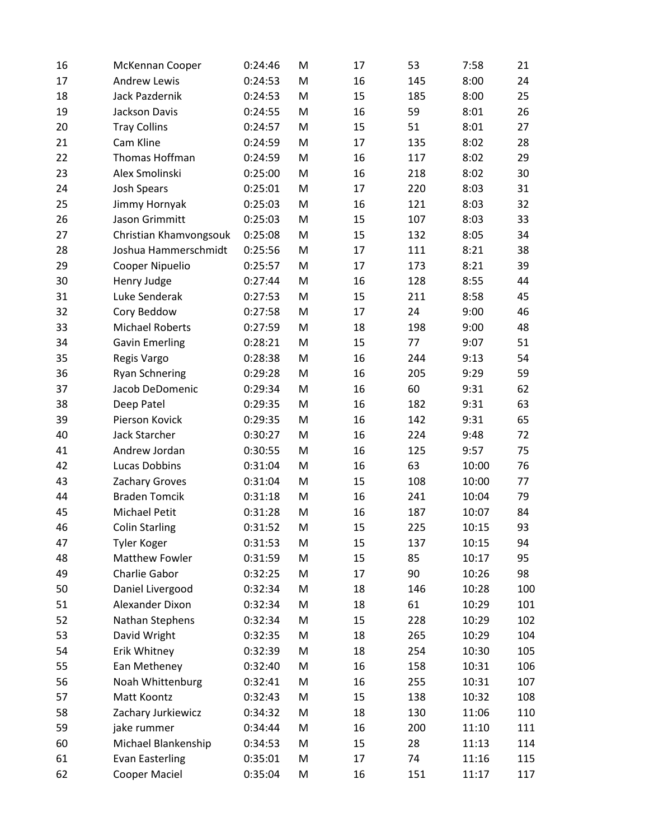| 16 | McKennan Cooper        | 0:24:46 | M | 17 | 53  | 7:58  | 21  |
|----|------------------------|---------|---|----|-----|-------|-----|
| 17 | <b>Andrew Lewis</b>    | 0:24:53 | M | 16 | 145 | 8:00  | 24  |
| 18 | Jack Pazdernik         | 0:24:53 | M | 15 | 185 | 8:00  | 25  |
| 19 | Jackson Davis          | 0:24:55 | M | 16 | 59  | 8:01  | 26  |
| 20 | <b>Tray Collins</b>    | 0:24:57 | M | 15 | 51  | 8:01  | 27  |
| 21 | Cam Kline              | 0:24:59 | M | 17 | 135 | 8:02  | 28  |
| 22 | Thomas Hoffman         | 0:24:59 | M | 16 | 117 | 8:02  | 29  |
| 23 | Alex Smolinski         | 0:25:00 | M | 16 | 218 | 8:02  | 30  |
| 24 | <b>Josh Spears</b>     | 0:25:01 | M | 17 | 220 | 8:03  | 31  |
| 25 | Jimmy Hornyak          | 0:25:03 | M | 16 | 121 | 8:03  | 32  |
| 26 | Jason Grimmitt         | 0:25:03 | M | 15 | 107 | 8:03  | 33  |
| 27 | Christian Khamvongsouk | 0:25:08 | M | 15 | 132 | 8:05  | 34  |
| 28 | Joshua Hammerschmidt   | 0:25:56 | M | 17 | 111 | 8:21  | 38  |
| 29 | Cooper Nipuelio        | 0:25:57 | M | 17 | 173 | 8:21  | 39  |
| 30 | Henry Judge            | 0:27:44 | M | 16 | 128 | 8:55  | 44  |
| 31 | Luke Senderak          | 0:27:53 | M | 15 | 211 | 8:58  | 45  |
| 32 | Cory Beddow            | 0:27:58 | M | 17 | 24  | 9:00  | 46  |
| 33 | <b>Michael Roberts</b> | 0:27:59 | M | 18 | 198 | 9:00  | 48  |
| 34 | <b>Gavin Emerling</b>  | 0:28:21 | M | 15 | 77  | 9:07  | 51  |
| 35 | Regis Vargo            | 0:28:38 | M | 16 | 244 | 9:13  | 54  |
| 36 | <b>Ryan Schnering</b>  | 0:29:28 | M | 16 | 205 | 9:29  | 59  |
| 37 | Jacob DeDomenic        | 0:29:34 | M | 16 | 60  | 9:31  | 62  |
| 38 | Deep Patel             | 0:29:35 | M | 16 | 182 | 9:31  | 63  |
| 39 | Pierson Kovick         | 0:29:35 | M | 16 | 142 | 9:31  | 65  |
| 40 | <b>Jack Starcher</b>   | 0:30:27 | M | 16 | 224 | 9:48  | 72  |
| 41 | Andrew Jordan          | 0:30:55 | M | 16 | 125 | 9:57  | 75  |
| 42 | <b>Lucas Dobbins</b>   | 0:31:04 | M | 16 | 63  | 10:00 | 76  |
| 43 | Zachary Groves         | 0:31:04 | M | 15 | 108 | 10:00 | 77  |
| 44 | <b>Braden Tomcik</b>   | 0:31:18 | M | 16 | 241 | 10:04 | 79  |
| 45 | <b>Michael Petit</b>   | 0:31:28 | M | 16 | 187 | 10:07 | 84  |
| 46 | <b>Colin Starling</b>  | 0:31:52 | M | 15 | 225 | 10:15 | 93  |
| 47 | <b>Tyler Koger</b>     | 0:31:53 | M | 15 | 137 | 10:15 | 94  |
| 48 | <b>Matthew Fowler</b>  | 0:31:59 | M | 15 | 85  | 10:17 | 95  |
| 49 | Charlie Gabor          | 0:32:25 | M | 17 | 90  | 10:26 | 98  |
| 50 | Daniel Livergood       | 0:32:34 | M | 18 | 146 | 10:28 | 100 |
| 51 | Alexander Dixon        | 0:32:34 | M | 18 | 61  | 10:29 | 101 |
| 52 | Nathan Stephens        | 0:32:34 | M | 15 | 228 | 10:29 | 102 |
| 53 | David Wright           | 0:32:35 | M | 18 | 265 | 10:29 | 104 |
| 54 | Erik Whitney           | 0:32:39 | M | 18 | 254 | 10:30 | 105 |
| 55 | Ean Metheney           | 0:32:40 | M | 16 | 158 | 10:31 | 106 |
| 56 | Noah Whittenburg       | 0:32:41 | M | 16 | 255 | 10:31 | 107 |
| 57 | Matt Koontz            | 0:32:43 | M | 15 | 138 | 10:32 | 108 |
| 58 | Zachary Jurkiewicz     | 0:34:32 | M | 18 | 130 | 11:06 | 110 |
| 59 | jake rummer            | 0:34:44 | M | 16 | 200 | 11:10 | 111 |
| 60 | Michael Blankenship    | 0:34:53 | M | 15 | 28  | 11:13 | 114 |
| 61 | <b>Evan Easterling</b> | 0:35:01 | M | 17 | 74  | 11:16 | 115 |
| 62 | Cooper Maciel          | 0:35:04 | M | 16 | 151 | 11:17 | 117 |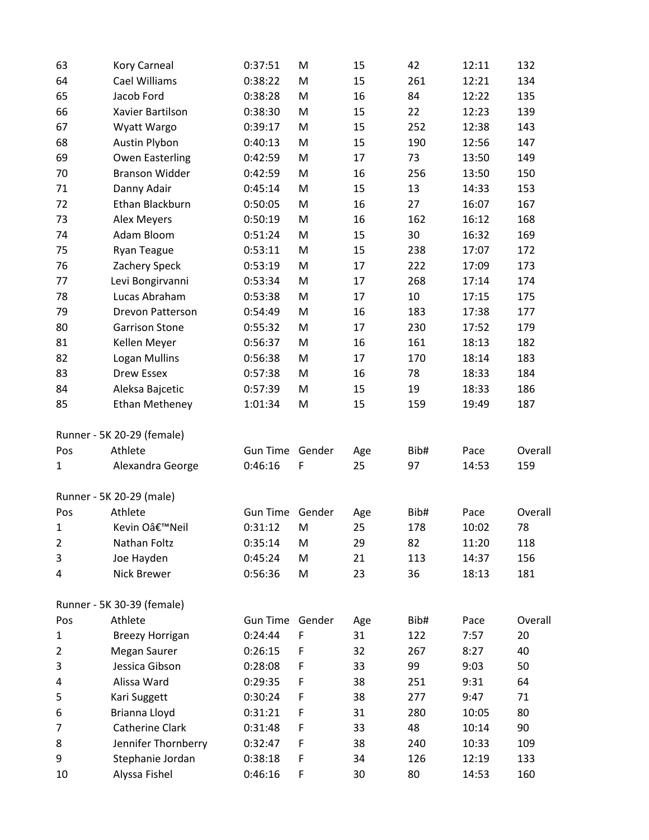| 63             | Kory Carneal               | 0:37:51         | M      | 15  | 42   | 12:11 | 132     |
|----------------|----------------------------|-----------------|--------|-----|------|-------|---------|
| 64             | Cael Williams              | 0:38:22         | M      | 15  | 261  | 12:21 | 134     |
| 65             | Jacob Ford                 | 0:38:28         | M      | 16  | 84   | 12:22 | 135     |
| 66             | Xavier Bartilson           | 0:38:30         | M      | 15  | 22   | 12:23 | 139     |
| 67             | Wyatt Wargo                | 0:39:17         | M      | 15  | 252  | 12:38 | 143     |
| 68             | Austin Plybon              | 0:40:13         | M      | 15  | 190  | 12:56 | 147     |
| 69             | <b>Owen Easterling</b>     | 0:42:59         | M      | 17  | 73   | 13:50 | 149     |
| 70             | <b>Branson Widder</b>      | 0:42:59         | M      | 16  | 256  | 13:50 | 150     |
| 71             | Danny Adair                | 0:45:14         | M      | 15  | 13   | 14:33 | 153     |
| 72             | Ethan Blackburn            | 0:50:05         | M      | 16  | 27   | 16:07 | 167     |
| 73             | Alex Meyers                | 0:50:19         | M      | 16  | 162  | 16:12 | 168     |
| 74             | Adam Bloom                 | 0:51:24         | M      | 15  | 30   | 16:32 | 169     |
| 75             | <b>Ryan Teague</b>         | 0:53:11         | M      | 15  | 238  | 17:07 | 172     |
| 76             | Zachery Speck              | 0:53:19         | M      | 17  | 222  | 17:09 | 173     |
| 77             | Levi Bongirvanni           | 0:53:34         | M      | 17  | 268  | 17:14 | 174     |
| 78             | Lucas Abraham              | 0:53:38         | M      | 17  | 10   | 17:15 | 175     |
| 79             | Drevon Patterson           | 0:54:49         | M      | 16  | 183  | 17:38 | 177     |
| 80             | <b>Garrison Stone</b>      | 0:55:32         | M      | 17  | 230  | 17:52 | 179     |
| 81             | Kellen Meyer               | 0:56:37         | M      | 16  | 161  | 18:13 | 182     |
| 82             | Logan Mullins              | 0:56:38         | M      | 17  | 170  | 18:14 | 183     |
| 83             | <b>Drew Essex</b>          | 0:57:38         | M      | 16  | 78   | 18:33 | 184     |
| 84             | Aleksa Bajcetic            | 0:57:39         | M      | 15  | 19   | 18:33 | 186     |
| 85             | <b>Ethan Metheney</b>      | 1:01:34         | M      | 15  | 159  | 19:49 | 187     |
|                | Runner - 5K 20-29 (female) |                 |        |     |      |       |         |
| Pos            | Athlete                    | <b>Gun Time</b> | Gender | Age | Bib# | Pace  | Overall |
| 1              | Alexandra George           | 0:46:16         | F      | 25  | 97   | 14:53 | 159     |
|                | Runner - 5K 20-29 (male)   |                 |        |     |      |       |         |
| Pos            | Athlete                    | <b>Gun Time</b> | Gender | Age | Bib# | Pace  | Overall |
| 1              | Kevin O'Neil               | 0:31:12         | M      | 25  | 178  | 10:02 | 78      |
| $\overline{2}$ | Nathan Foltz               | 0:35:14         | M      | 29  | 82   | 11:20 | 118     |
| 3              | Joe Hayden                 | 0:45:24         | M      | 21  | 113  | 14:37 | 156     |
| 4              | Nick Brewer                | 0:56:36         | M      | 23  | 36   | 18:13 | 181     |
|                | Runner - 5K 30-39 (female) |                 |        |     |      |       |         |
| Pos            | Athlete                    | <b>Gun Time</b> | Gender | Age | Bib# | Pace  | Overall |
| $\mathbf{1}$   | <b>Breezy Horrigan</b>     | 0:24:44         | F      | 31  | 122  | 7:57  | 20      |
| 2              | Megan Saurer               | 0:26:15         | F      | 32  | 267  | 8:27  | 40      |
| 3              | Jessica Gibson             | 0:28:08         | F      | 33  | 99   | 9:03  | 50      |
| 4              | Alissa Ward                | 0:29:35         | F      | 38  | 251  | 9:31  | 64      |
| 5              | Kari Suggett               | 0:30:24         | F      | 38  | 277  | 9:47  | 71      |
| 6              | Brianna Lloyd              | 0:31:21         | F      | 31  | 280  | 10:05 | 80      |
| 7              | <b>Catherine Clark</b>     | 0:31:48         | F      | 33  | 48   | 10:14 | 90      |
| 8              | Jennifer Thornberry        | 0:32:47         | F      | 38  | 240  | 10:33 | 109     |
| 9              | Stephanie Jordan           | 0:38:18         | F      | 34  | 126  | 12:19 | 133     |
| 10             | Alyssa Fishel              | 0:46:16         | F      | 30  | 80   | 14:53 | 160     |